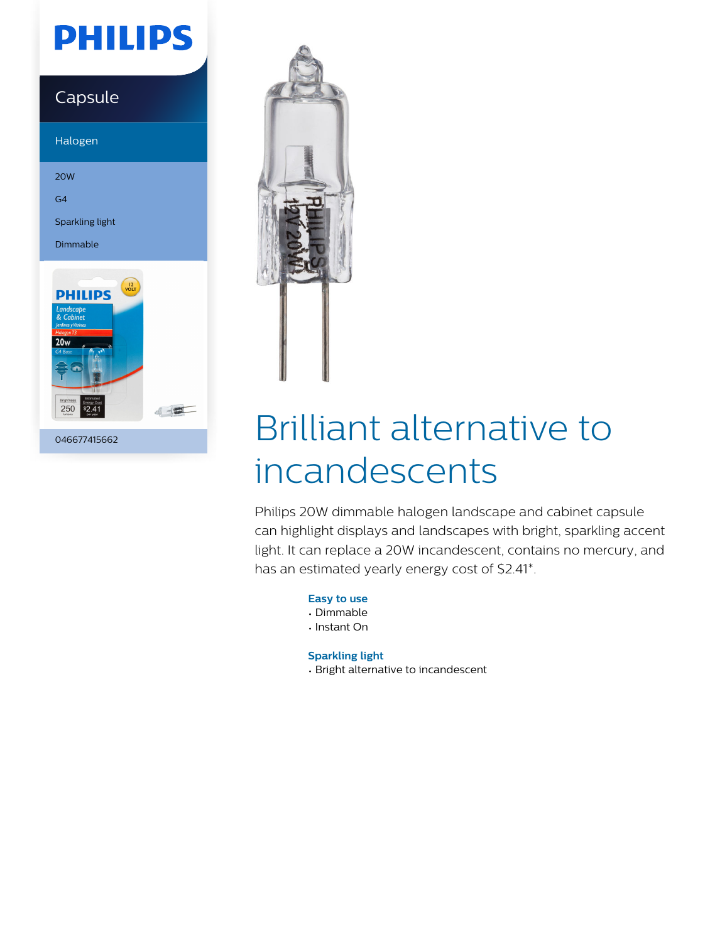## **PHILIPS**

### Capsule

Halogen

20W

G4

Sparkling light

Dimmable



046677415662



# Brilliant alternative to incandescents

Philips 20W dimmable halogen landscape and cabinet capsule can highlight displays and landscapes with bright, sparkling accent light. It can replace a 20W incandescent, contains no mercury, and has an estimated yearly energy cost of \$2.41\*.

**Easy to use**

- Dimmable
- Instant On

**Sparkling light**

• Bright alternative to incandescent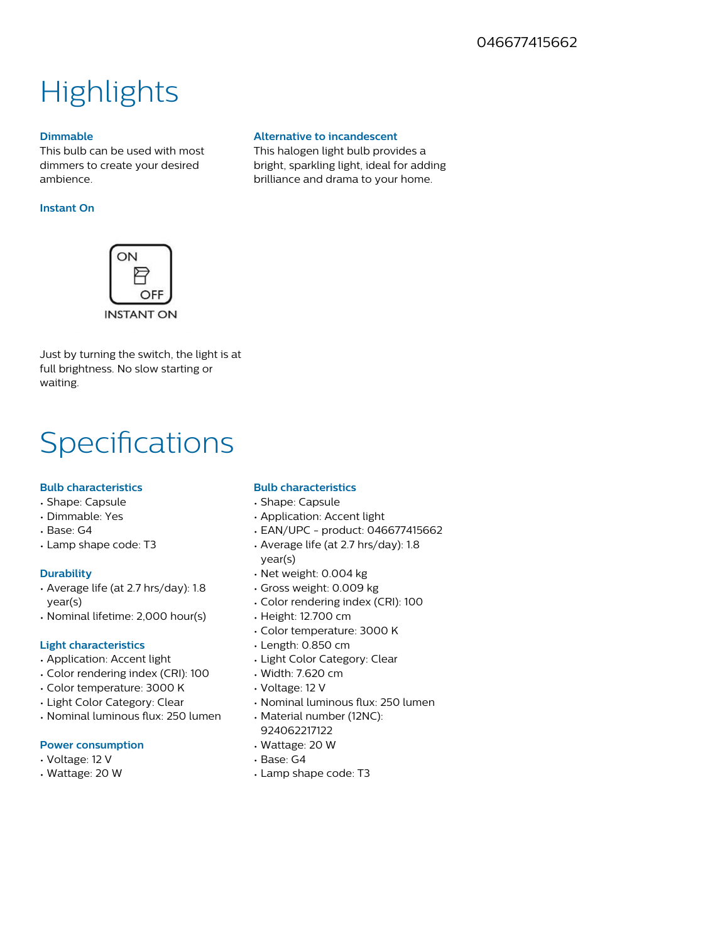### **Highlights**

#### **Dimmable**

This bulb can be used with most dimmers to create your desired ambience.

#### **Instant On**



Just by turning the switch, the light is at full brightness. No slow starting or waiting.

### Specifications

#### **Bulb characteristics**

- Shape: Capsule
- Dimmable: Yes
- Base: G4
- Lamp shape code: T3

#### **Durability**

- Average life (at 2.7 hrs/day): 1.8 year(s)
- Nominal lifetime: 2,000 hour(s)

#### **Light characteristics**

- Application: Accent light
- Color rendering index (CRI): 100
- Color temperature: 3000 K
- Light Color Category: Clear
- $\cdot$  Nominal luminous flux: 250 lumen

#### **Power consumption**

- Voltage: 12 V
- Wattage: 20 W

**Alternative to incandescent** This halogen light bulb provides a bright, sparkling light, ideal for adding brilliance and drama to your home.

- **Bulb characteristics**
- Shape: Capsule
- Application: Accent light
- EAN/UPC product: 046677415662
- Average life (at 2.7 hrs/day): 1.8 year(s)
- Net weight: 0.004 kg
- Gross weight: 0.009 kg
- Color rendering index (CRI): 100
- Height: 12.700 cm
- Color temperature: 3000 K
- Length: 0.850 cm
- Light Color Category: Clear
- Width: 7.620 cm
- Voltage: 12 V
- Nominal luminous flux: 250 lumen
- Material number (12NC): 924062217122
- Wattage: 20 W
- Base: G4
- Lamp shape code: T3